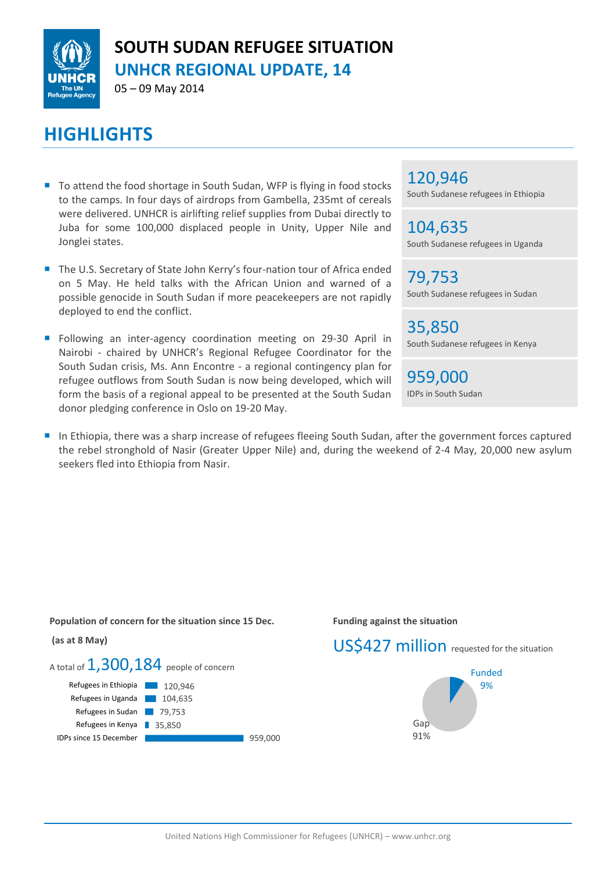

# **SOUTH SUDAN REFUGEE SITUATION UNHCR REGIONAL UPDATE, 14**

05 – 09 May 2014

# **HIGHLIGHTS**

- To attend the food shortage in South Sudan, WFP is flying in food stocks to the camps. In four days of airdrops from Gambella, 235mt of cereals were delivered. UNHCR is airlifting relief supplies from Dubai directly to Juba for some 100,000 displaced people in Unity, Upper Nile and Jonglei states.
- The U.S. Secretary of State John Kerry's four-nation tour of Africa ended on 5 May. He held talks with the African Union and warned of a possible genocide in South Sudan if more peacekeepers are not rapidly deployed to end the conflict.
- **Following an inter-agency coordination meeting on 29-30 April in** Nairobi - chaired by UNHCR's Regional Refugee Coordinator for the South Sudan crisis, Ms. Ann Encontre - a regional contingency plan for refugee outflows from South Sudan is now being developed, which will form the basis of a regional appeal to be presented at the South Sudan donor pledging conference in Oslo on 19-20 May.

### 120,946

South Sudanese refugees in Ethiopia

104,635 South Sudanese refugees in Uganda

79,753 South Sudanese refugees in Sudan

35,850 South Sudanese refugees in Kenya

959,000 IDPs in South Sudan

In Ethiopia, there was a sharp increase of refugees fleeing South Sudan, after the government forces captured the rebel stronghold of Nasir (Greater Upper Nile) and, during the weekend of 2-4 May, 20,000 new asylum seekers fled into Ethiopia from Nasir.

**Population of concern for the situation since 15 Dec.**

# **(as at 8 May)**



#### **Funding against the situation**

# US\$427 million requested for the situation

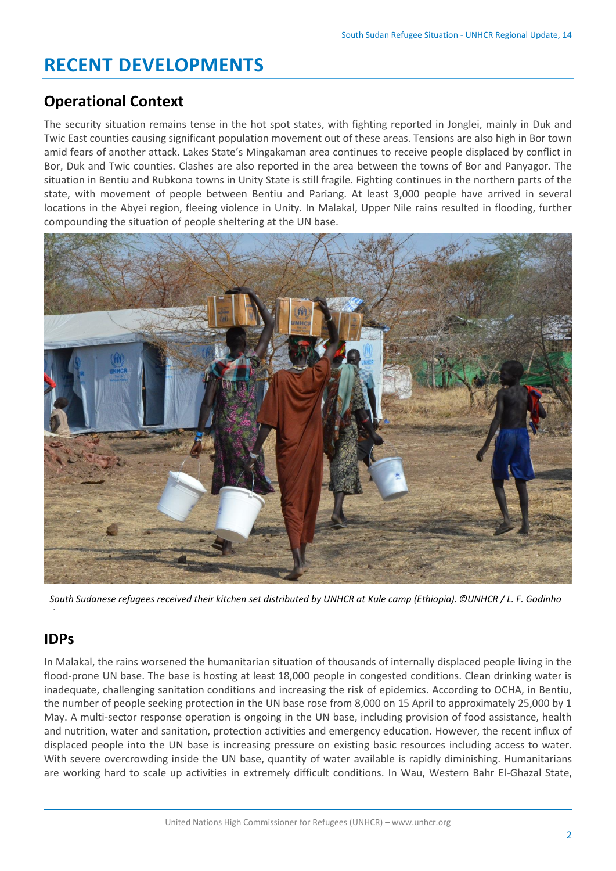# **RECENT DEVELOPMENTS**

## **Operational Context**

The security situation remains tense in the hot spot states, with fighting reported in Jonglei, mainly in Duk and Twic East counties causing significant population movement out of these areas. Tensions are also high in Bor town amid fears of another attack. Lakes State's Mingakaman area continues to receive people displaced by conflict in Bor, Duk and Twic counties. Clashes are also reported in the area between the towns of Bor and Panyagor. The situation in Bentiu and Rubkona towns in Unity State is still fragile. Fighting continues in the northern parts of the state, with movement of people between Bentiu and Pariang. At least 3,000 people have arrived in several locations in the Abyei region, fleeing violence in Unity. In Malakal, Upper Nile rains resulted in flooding, further compounding the situation of people sheltering at the UN base.



*South Sudanese refugees received their kitchen set distributed by UNHCR at Kule camp (Ethiopia). ©UNHCR / L. F. Godinho*

# **IDPs**

*/ March 2014.*

In Malakal, the rains worsened the humanitarian situation of thousands of internally displaced people living in the flood-prone UN base. The base is hosting at least 18,000 people in congested conditions. Clean drinking water is inadequate, challenging sanitation conditions and increasing the risk of epidemics. According to OCHA, in Bentiu, the number of people seeking protection in the UN base rose from 8,000 on 15 April to approximately 25,000 by 1 May. A multi-sector response operation is ongoing in the UN base, including provision of food assistance, health and nutrition, water and sanitation, protection activities and emergency education. However, the recent influx of displaced people into the UN base is increasing pressure on existing basic resources including access to water. With severe overcrowding inside the UN base, quantity of water available is rapidly diminishing. Humanitarians are working hard to scale up activities in extremely difficult conditions. In Wau, Western Bahr El-Ghazal State,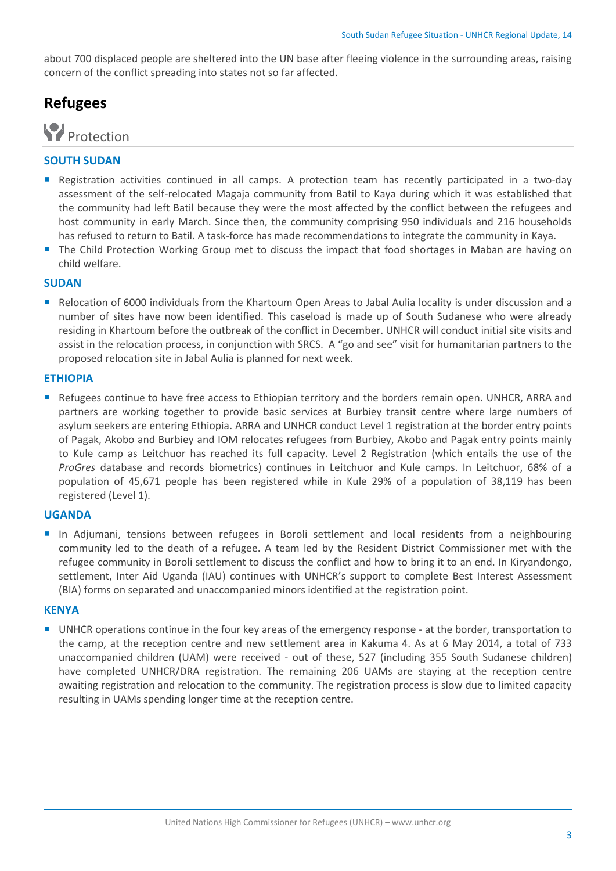about 700 displaced people are sheltered into the UN base after fleeing violence in the surrounding areas, raising concern of the conflict spreading into states not so far affected.

## **Refugees**



#### **SOUTH SUDAN**

- **Registration activities continued in all camps. A protection team has recently participated in a two-day** assessment of the self-relocated Magaja community from Batil to Kaya during which it was established that the community had left Batil because they were the most affected by the conflict between the refugees and host community in early March. Since then, the community comprising 950 individuals and 216 households has refused to return to Batil. A task-force has made recommendations to integrate the community in Kaya.
- The Child Protection Working Group met to discuss the impact that food shortages in Maban are having on child welfare.

#### **SUDAN**

Relocation of 6000 individuals from the Khartoum Open Areas to Jabal Aulia locality is under discussion and a number of sites have now been identified. This caseload is made up of South Sudanese who were already residing in Khartoum before the outbreak of the conflict in December. UNHCR will conduct initial site visits and assist in the relocation process, in conjunction with SRCS. A "go and see" visit for humanitarian partners to the proposed relocation site in Jabal Aulia is planned for next week.

#### **ETHIOPIA**

 Refugees continue to have free access to Ethiopian territory and the borders remain open. UNHCR, ARRA and partners are working together to provide basic services at Burbiey transit centre where large numbers of asylum seekers are entering Ethiopia. ARRA and UNHCR conduct Level 1 registration at the border entry points of Pagak, Akobo and Burbiey and IOM relocates refugees from Burbiey, Akobo and Pagak entry points mainly to Kule camp as Leitchuor has reached its full capacity. Level 2 Registration (which entails the use of the *ProGres* database and records biometrics) continues in Leitchuor and Kule camps. In Leitchuor, 68% of a population of 45,671 people has been registered while in Kule 29% of a population of 38,119 has been registered (Level 1).

#### **UGANDA**

 In Adjumani, tensions between refugees in Boroli settlement and local residents from a neighbouring community led to the death of a refugee. A team led by the Resident District Commissioner met with the refugee community in Boroli settlement to discuss the conflict and how to bring it to an end. In Kiryandongo, settlement, Inter Aid Uganda (IAU) continues with UNHCR's support to complete Best Interest Assessment (BIA) forms on separated and unaccompanied minors identified at the registration point.

#### **KENYA**

 UNHCR operations continue in the four key areas of the emergency response - at the border, transportation to the camp, at the reception centre and new settlement area in Kakuma 4. As at 6 May 2014, a total of 733 unaccompanied children (UAM) were received - out of these, 527 (including 355 South Sudanese children) have completed UNHCR/DRA registration. The remaining 206 UAMs are staying at the reception centre awaiting registration and relocation to the community. The registration process is slow due to limited capacity resulting in UAMs spending longer time at the reception centre.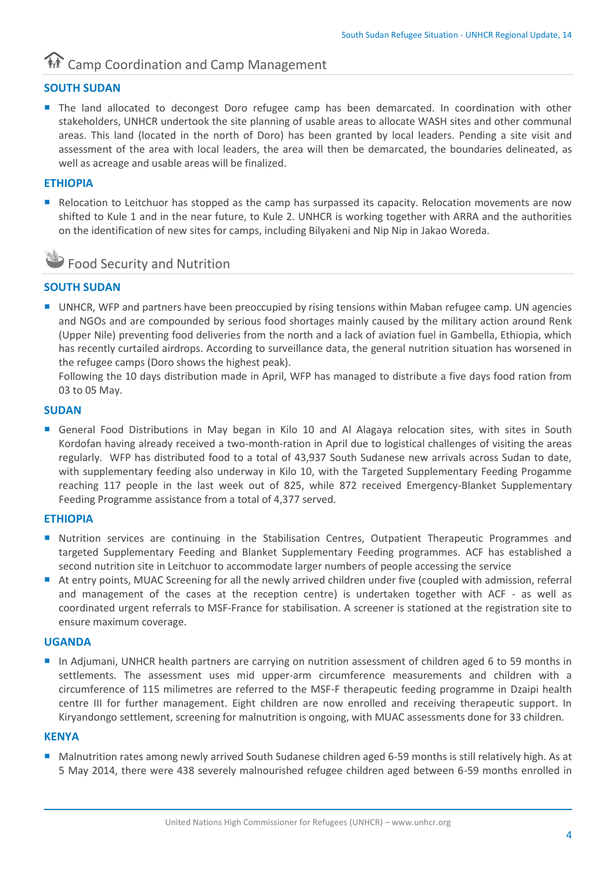# **And Camp Coordination and Camp Management**

#### **SOUTH SUDAN**

**The land allocated to decongest Doro refugee camp has been demarcated. In coordination with other** stakeholders, UNHCR undertook the site planning of usable areas to allocate WASH sites and other communal areas. This land (located in the north of Doro) has been granted by local leaders. Pending a site visit and assessment of the area with local leaders, the area will then be demarcated, the boundaries delineated, as well as acreage and usable areas will be finalized.

#### **ETHIOPIA**

Relocation to Leitchuor has stopped as the camp has surpassed its capacity. Relocation movements are now shifted to Kule 1 and in the near future, to Kule 2. UNHCR is working together with ARRA and the authorities on the identification of new sites for camps, including Bilyakeni and Nip Nip in Jakao Woreda.



#### **SOUTH SUDAN**

■ UNHCR, WFP and partners have been preoccupied by rising tensions within Maban refugee camp. UN agencies and NGOs and are compounded by serious food shortages mainly caused by the military action around Renk (Upper Nile) preventing food deliveries from the north and a lack of aviation fuel in Gambella, Ethiopia, which has recently curtailed airdrops. According to surveillance data, the general nutrition situation has worsened in the refugee camps (Doro shows the highest peak).

Following the 10 days distribution made in April, WFP has managed to distribute a five days food ration from 03 to 05 May.

#### **SUDAN**

General Food Distributions in May began in Kilo 10 and Al Alagaya relocation sites, with sites in South Kordofan having already received a two-month-ration in April due to logistical challenges of visiting the areas regularly. WFP has distributed food to a total of 43,937 South Sudanese new arrivals across Sudan to date, with supplementary feeding also underway in Kilo 10, with the Targeted Supplementary Feeding Progamme reaching 117 people in the last week out of 825, while 872 received Emergency-Blanket Supplementary Feeding Programme assistance from a total of 4,377 served.

#### **ETHIOPIA**

- Nutrition services are continuing in the Stabilisation Centres, Outpatient Therapeutic Programmes and targeted Supplementary Feeding and Blanket Supplementary Feeding programmes. ACF has established a second nutrition site in Leitchuor to accommodate larger numbers of people accessing the service
- At entry points, MUAC Screening for all the newly arrived children under five (coupled with admission, referral and management of the cases at the reception centre) is undertaken together with ACF - as well as coordinated urgent referrals to MSF-France for stabilisation. A screener is stationed at the registration site to ensure maximum coverage.

#### **UGANDA**

 In Adjumani, UNHCR health partners are carrying on nutrition assessment of children aged 6 to 59 months in settlements. The assessment uses mid upper-arm circumference measurements and children with a circumference of 115 milimetres are referred to the MSF-F therapeutic feeding programme in Dzaipi health centre III for further management. Eight children are now enrolled and receiving therapeutic support. In Kiryandongo settlement, screening for malnutrition is ongoing, with MUAC assessments done for 33 children.

#### **KENYA**

Malnutrition rates among newly arrived South Sudanese children aged 6-59 months is still relatively high. As at 5 May 2014, there were 438 severely malnourished refugee children aged between 6-59 months enrolled in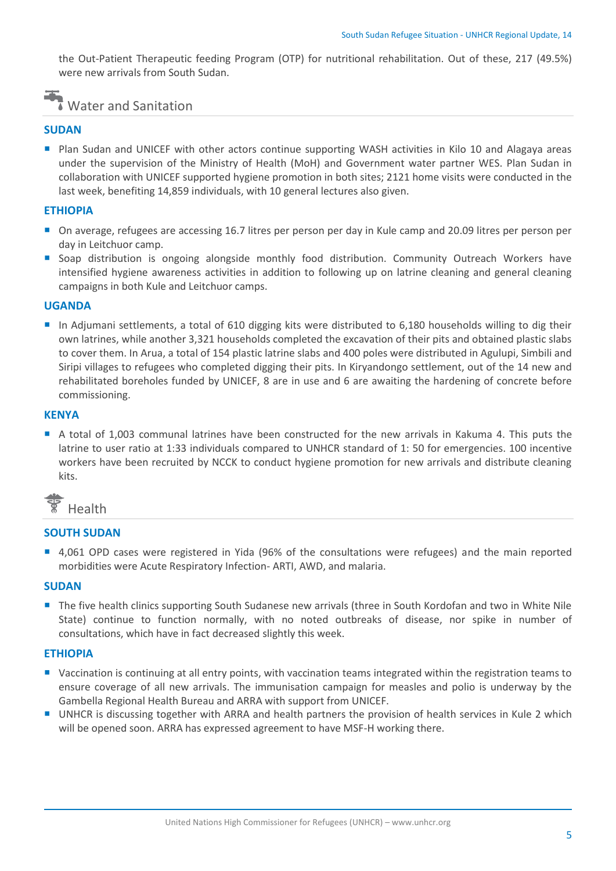the Out-Patient Therapeutic feeding Program (OTP) for nutritional rehabilitation. Out of these, 217 (49.5%) were new arrivals from South Sudan.

## Water and Sanitation

#### **SUDAN**

**Plan Sudan and UNICEF with other actors continue supporting WASH activities in Kilo 10 and Alagaya areas** under the supervision of the Ministry of Health (MoH) and Government water partner WES. Plan Sudan in collaboration with UNICEF supported hygiene promotion in both sites; 2121 home visits were conducted in the last week, benefiting 14,859 individuals, with 10 general lectures also given.

#### **ETHIOPIA**

- On average, refugees are accessing 16.7 litres per person per day in Kule camp and 20.09 litres per person per day in Leitchuor camp.
- **Soap distribution is ongoing alongside monthly food distribution. Community Outreach Workers have** intensified hygiene awareness activities in addition to following up on latrine cleaning and general cleaning campaigns in both Kule and Leitchuor camps.

#### **UGANDA**

 In Adjumani settlements, a total of 610 digging kits were distributed to 6,180 households willing to dig their own latrines, while another 3,321 households completed the excavation of their pits and obtained plastic slabs to cover them. In Arua, a total of 154 plastic latrine slabs and 400 poles were distributed in Agulupi, Simbili and Siripi villages to refugees who completed digging their pits. In Kiryandongo settlement, out of the 14 new and rehabilitated boreholes funded by UNICEF, 8 are in use and 6 are awaiting the hardening of concrete before commissioning.

#### **KENYA**

A total of 1,003 communal latrines have been constructed for the new arrivals in Kakuma 4. This puts the latrine to user ratio at 1:33 individuals compared to UNHCR standard of 1: 50 for emergencies. 100 incentive workers have been recruited by NCCK to conduct hygiene promotion for new arrivals and distribute cleaning kits.



#### **SOUTH SUDAN**

 4,061 OPD cases were registered in Yida (96% of the consultations were refugees) and the main reported morbidities were Acute Respiratory Infection- ARTI, AWD, and malaria.

#### **SUDAN**

**The five health clinics supporting South Sudanese new arrivals (three in South Kordofan and two in White Nile** State) continue to function normally, with no noted outbreaks of disease, nor spike in number of consultations, which have in fact decreased slightly this week.

#### **ETHIOPIA**

- Vaccination is continuing at all entry points, with vaccination teams integrated within the registration teams to ensure coverage of all new arrivals. The immunisation campaign for measles and polio is underway by the Gambella Regional Health Bureau and ARRA with support from UNICEF.
- UNHCR is discussing together with ARRA and health partners the provision of health services in Kule 2 which will be opened soon. ARRA has expressed agreement to have MSF-H working there.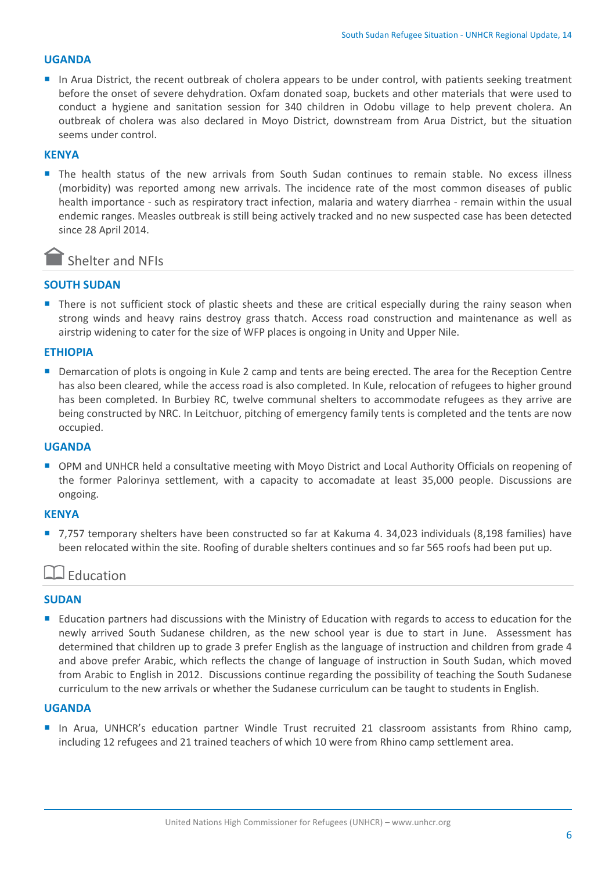#### **UGANDA**

In Arua District, the recent outbreak of cholera appears to be under control, with patients seeking treatment before the onset of severe dehydration. Oxfam donated soap, buckets and other materials that were used to conduct a hygiene and sanitation session for 340 children in Odobu village to help prevent cholera. An outbreak of cholera was also declared in Moyo District, downstream from Arua District, but the situation seems under control.

#### **KENYA**

**The health status of the new arrivals from South Sudan continues to remain stable. No excess illness** (morbidity) was reported among new arrivals. The incidence rate of the most common diseases of public health importance - such as respiratory tract infection, malaria and watery diarrhea - remain within the usual endemic ranges. Measles outbreak is still being actively tracked and no new suspected case has been detected since 28 April 2014.

### Shelter and NFIs

#### **SOUTH SUDAN**

There is not sufficient stock of plastic sheets and these are critical especially during the rainy season when strong winds and heavy rains destroy grass thatch. Access road construction and maintenance as well as airstrip widening to cater for the size of WFP places is ongoing in Unity and Upper Nile.

#### **ETHIOPIA**

 Demarcation of plots is ongoing in Kule 2 camp and tents are being erected. The area for the Reception Centre has also been cleared, while the access road is also completed. In Kule, relocation of refugees to higher ground has been completed. In Burbiey RC, twelve communal shelters to accommodate refugees as they arrive are being constructed by NRC. In Leitchuor, pitching of emergency family tents is completed and the tents are now occupied.

#### **UGANDA**

■ OPM and UNHCR held a consultative meeting with Moyo District and Local Authority Officials on reopening of the former Palorinya settlement, with a capacity to accomadate at least 35,000 people. Discussions are ongoing.

#### **KENYA**

■ 7,757 temporary shelters have been constructed so far at Kakuma 4. 34,023 individuals (8,198 families) have been relocated within the site. Roofing of durable shelters continues and so far 565 roofs had been put up.

### Education

#### **SUDAN**

Education partners had discussions with the Ministry of Education with regards to access to education for the newly arrived South Sudanese children, as the new school year is due to start in June. Assessment has determined that children up to grade 3 prefer English as the language of instruction and children from grade 4 and above prefer Arabic, which reflects the change of language of instruction in South Sudan, which moved from Arabic to English in 2012. Discussions continue regarding the possibility of teaching the South Sudanese curriculum to the new arrivals or whether the Sudanese curriculum can be taught to students in English.

#### **UGANDA**

In Arua, UNHCR's education partner Windle Trust recruited 21 classroom assistants from Rhino camp, including 12 refugees and 21 trained teachers of which 10 were from Rhino camp settlement area.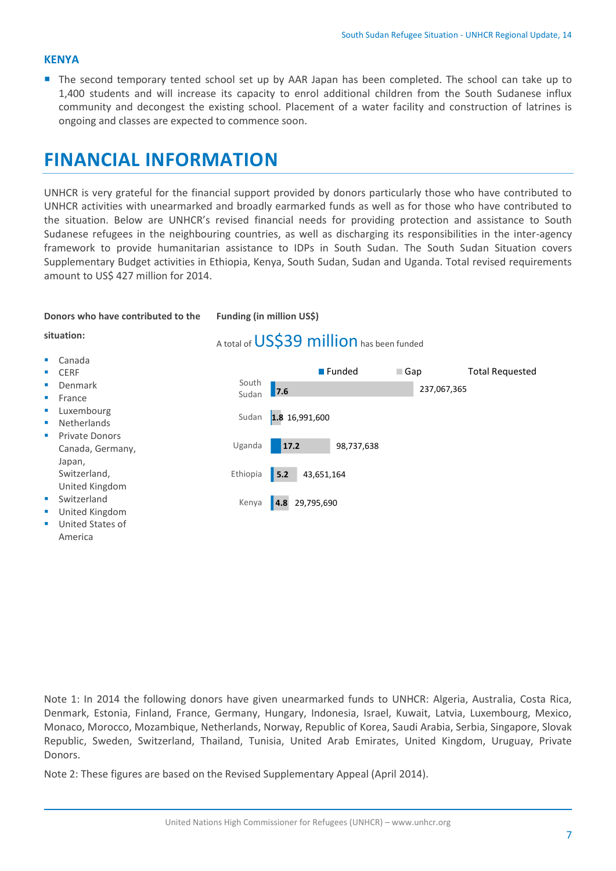#### **KENYA**

The second temporary tented school set up by AAR Japan has been completed. The school can take up to 1,400 students and will increase its capacity to enrol additional children from the South Sudanese influx community and decongest the existing school. Placement of a water facility and construction of latrines is ongoing and classes are expected to commence soon.

# **FINANCIAL INFORMATION**

UNHCR is very grateful for the financial support provided by donors particularly those who have contributed to UNHCR activities with unearmarked and broadly earmarked funds as well as for those who have contributed to the situation. Below are UNHCR's revised financial needs for providing protection and assistance to South Sudanese refugees in the neighbouring countries, as well as discharging its responsibilities in the inter-agency framework to provide humanitarian assistance to IDPs in South Sudan. The South Sudan Situation covers Supplementary Budget activities in Ethiopia, Kenya, South Sudan, Sudan and Uganda. Total revised requirements amount to US\$ 427 million for 2014.

#### **Donors who have contributed to the**

**Funding (in million US\$)**

#### **situation:**

#### Canada

- **CERE**
- Denmark
- France
- Luxembourg
- Netherlands
- Private Donors Canada, Germany, Japan, Switzerland, United Kingdom
- Switzerland
- **United Kingdom**
- **United States of** America

A total of US\$39 million has been funded



Note 1: In 2014 the following donors have given unearmarked funds to UNHCR: Algeria, Australia, Costa Rica, Denmark, Estonia, Finland, France, Germany, Hungary, Indonesia, Israel, Kuwait, Latvia, Luxembourg, Mexico, Monaco, Morocco, Mozambique, Netherlands, Norway, Republic of Korea, Saudi Arabia, Serbia, Singapore, Slovak Republic, Sweden, Switzerland, Thailand, Tunisia, United Arab Emirates, United Kingdom, Uruguay, Private Donors.

Note 2: These figures are based on the Revised Supplementary Appeal (April 2014).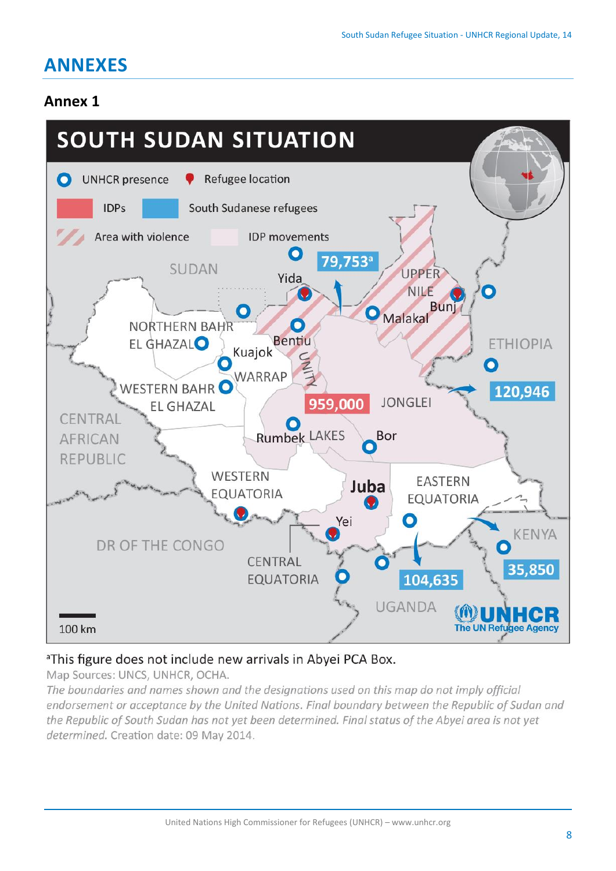# **ANNEXES**

## **Annex 1**



### <sup>a</sup>This figure does not include new arrivals in Abyei PCA Box.

Map Sources: UNCS, UNHCR, OCHA.

The boundaries and names shown and the designations used on this map do not imply official endorsement or acceptance by the United Nations. Final boundary between the Republic of Sudan and the Republic of South Sudan has not yet been determined. Final status of the Abyei area is not yet determined. Creation date: 09 May 2014.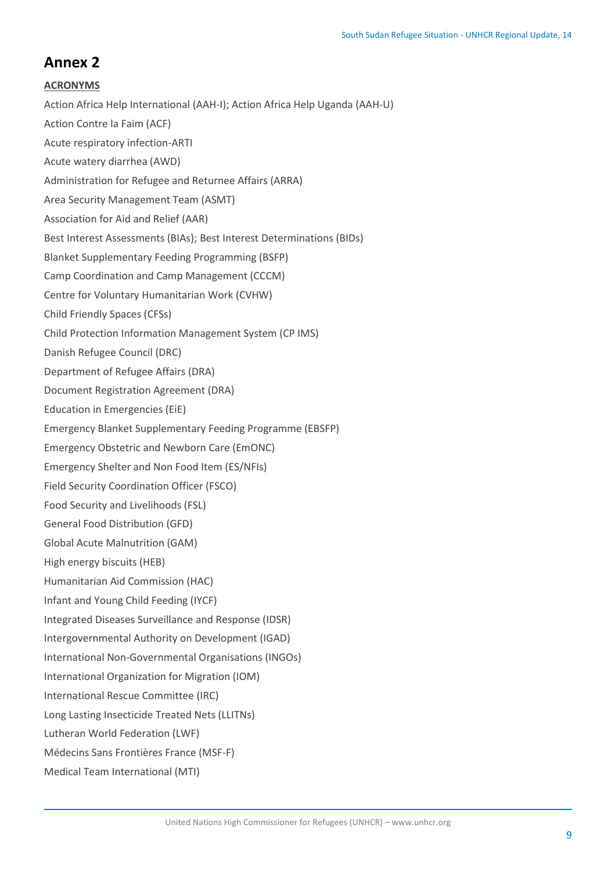### **Annex 2**

#### **ACRONYMS**

Action Africa Help International (AAH-I); Action Africa Help Uganda (AAH-U) Action Contre la Faim (ACF) Acute respiratory infection-ARTI Acute watery diarrhea (AWD) Administration for Refugee and Returnee Affairs (ARRA) Area Security Management Team (ASMT) Association for Aid and Relief (AAR) Best Interest Assessments (BIAs); Best Interest Determinations (BIDs) Blanket Supplementary Feeding Programming (BSFP) Camp Coordination and Camp Management (CCCM) Centre for Voluntary Humanitarian Work (CVHW) Child Friendly Spaces (CFSs) Child Protection Information Management System (CP IMS) Danish Refugee Council (DRC) Department of Refugee Affairs (DRA) Document Registration Agreement (DRA) Education in Emergencies (EiE) Emergency Blanket Supplementary Feeding Programme (EBSFP) Emergency Obstetric and Newborn Care (EmONC) Emergency Shelter and Non Food Item (ES/NFIs) Field Security Coordination Officer (FSCO) Food Security and Livelihoods (FSL) General Food Distribution (GFD) Global Acute Malnutrition (GAM) High energy biscuits (HEB) Humanitarian Aid Commission (HAC) Infant and Young Child Feeding (IYCF) Integrated Diseases Surveillance and Response (IDSR) Intergovernmental Authority on Development (IGAD) International Non-Governmental Organisations (INGOs) International Organization for Migration (IOM) International Rescue Committee (IRC) Long Lasting Insecticide Treated Nets (LLITNs) Lutheran World Federation (LWF) Médecins Sans Frontières France (MSF-F) Medical Team International (MTI)